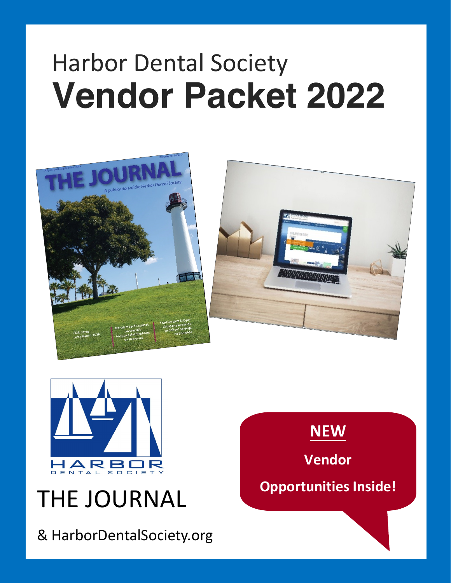# Harbor Dental Society **Vendor Packet 2022**





# THE JOURNAL

& HarborDentalSociety.org

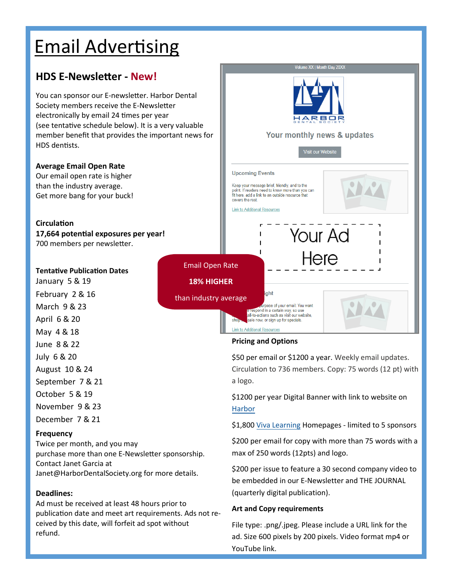## Email Advertising

## **HDS E-Newsletter - New!**

You can sponsor our E-newsletter. Harbor Dental Society members receive the E-Newsletter electronically by email 24 times per year (see tentative schedule below). It is a very valuable member benefit that provides the important news for HDS dentists.

#### **Average Email Open Rate**

Our email open rate is higher than the industry average. Get more bang for your buck!

#### **Circulation**

**17,664 potential exposures per year!**  700 members per newsletter.

#### **Tentative Publication Dates**

January 5 & 19 February 2 & 16 March 9 & 23 April 6 & 20 May 4 & 18 June 8 & 22 July 6 & 20 August 10 & 24 September 7 & 21 October 5 & 19 November 9 & 23 December 7 & 21

#### **Frequency**

Twice per month, and you may purchase more than one E-Newsletter sponsorship. Contact Janet Garcia at Janet@HarborDentalSociety.org for more details.

#### **Deadlines:**

Ad must be received at least 48 hours prior to publication date and meet art requirements. Ads not received by this date, will forfeit ad spot without refund.



#### **Pricing and Options**

\$50 per email or \$1200 a year. Weekly email updates. Circulation to 736 members. Copy: 75 words (12 pt) with a logo.

\$1200 per year Digital Banner with link to website on [Harbor](https://harbordentalsociety.org/)

\$1,800 [Viva Learning](https://harbor.dentalsocietyce.com/) Homepages - limited to 5 sponsors

\$200 per email for copy with more than 75 words with a max of 250 words (12pts) and logo.

\$200 per issue to feature a 30 second company video to be embedded in our E-Newsletter and THE JOURNAL (quarterly digital publication).

#### **Art and Copy requirements**

File type: .png/.jpeg. Please include a URL link for the ad. Size 600 pixels by 200 pixels. Video format mp4 or YouTube link.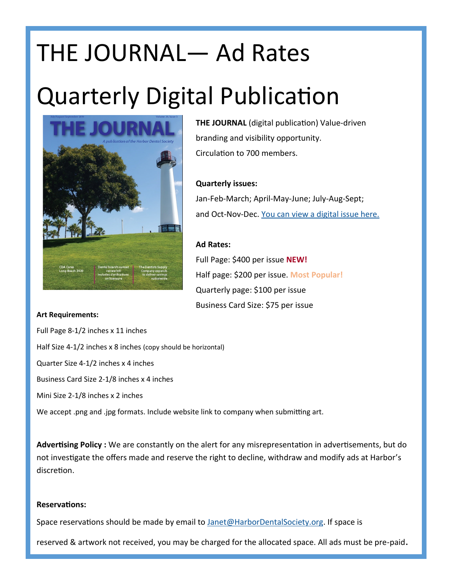# THE JOURNAL— Ad Rates Quarterly Digital Publication



**THE JOURNAL** (digital publication) Value-driven branding and visibility opportunity. Circulation to 700 members.

#### **Quarterly issues:**

Jan-Feb-March; April-May-June; July-Aug-Sept; and Oct-Nov-Dec. [You can view a digital issue here.](https://www.flipsnack.com/HarborDentalSociety/hds-journal-nov-dec-2020.html)

#### **Ad Rates:**

Full Page: \$400 per issue **NEW!** Half page: \$200 per issue. **Most Popular!** Quarterly page: \$100 per issue Business Card Size: \$75 per issue

#### **Art Requirements:**

Full Page 8-1/2 inches x 11 inches Half Size 4-1/2 inches x 8 inches (copy should be horizontal) Quarter Size 4-1/2 inches x 4 inches Business Card Size 2-1/8 inches x 4 inches Mini Size 2-1/8 inches x 2 inches We accept .png and .jpg formats. Include website link to company when submitting art.

**Advertising Policy :** We are constantly on the alert for any misrepresentation in advertisements, but do not investigate the offers made and reserve the right to decline, withdraw and modify ads at Harbor's discretion.

#### **Reservations:**

Space reservations should be made by email to [Janet@HarborDentalSociety.org.](mailto:Janet@HarborDentalSociety.org) If space is

reserved & artwork not received, you may be charged for the allocated space. All ads must be pre-paid.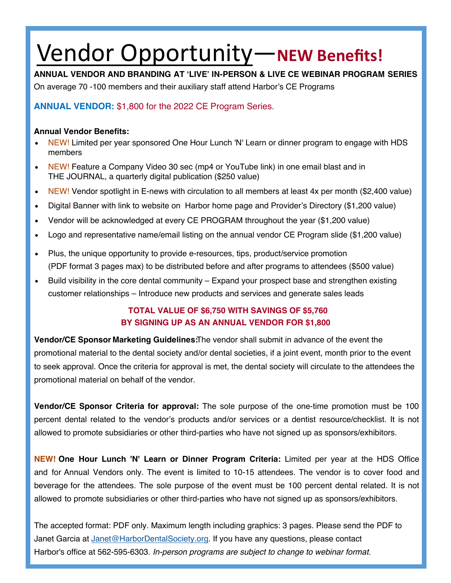# Vendor Opportunity—**NEW Benefits!**

**ANNUAL VENDOR AND BRANDING AT 'LIVE' IN-PERSON & LIVE CE WEBINAR PROGRAM SERIES**

On average 70 -100 members and their auxiliary staff attend Harbor's CE Programs

### **ANNUAL VENDOR:** \$1,800 for the 2022 CE Program Series.

#### **Annual Vendor Benefits:**

- NEW! Limited per year sponsored One Hour Lunch 'N' Learn or dinner program to engage with HDS members
- NEW! Feature a Company Video 30 sec (mp4 or YouTube link) in one email blast and in THE JOURNAL, a quarterly digital publication (\$250 value)
- NEW! Vendor spotlight in E-news with circulation to all members at least 4x per month (\$2,400 value)
- Digital Banner with link to website on Harbor home page and Provider's Directory (\$1,200 value)
- Vendor will be acknowledged at every CE PROGRAM throughout the year (\$1,200 value)
- Logo and representative name/email listing on the annual vendor CE Program slide (\$1,200 value)
- Plus, the unique opportunity to provide e-resources, tips, product/service promotion (PDF format 3 pages max) to be distributed before and after programs to attendees (\$500 value)
- Build visibility in the core dental community Expand your prospect base and strengthen existing customer relationships – Introduce new products and services and generate sales leads

### **TOTAL VALUE OF \$6,750 WITH SAVINGS OF \$5,760 BY SIGNING UP AS AN ANNUAL VENDOR FOR \$1,800**

**Vendor/CE Sponsor Marketing Guidelines:**The vendor shall submit in advance of the event the promotional material to the dental society and/or dental societies, if a joint event, month prior to the event to seek approval. Once the criteria for approval is met, the dental society will circulate to the attendees the promotional material on behalf of the vendor.

**Vendor/CE Sponsor Criteria for approval:** The sole purpose of the one-time promotion must be 100 percent dental related to the vendor's products and/or services or a dentist resource/checklist. It is not allowed to promote subsidiaries or other third-parties who have not signed up as sponsors/exhibitors.

**NEW! One Hour Lunch 'N' Learn or Dinner Program Criteria:** Limited per year at the HDS Office and for Annual Vendors only. The event is limited to 10-15 attendees. The vendor is to cover food and beverage for the attendees. The sole purpose of the event must be 100 percent dental related. It is not allowed to promote subsidiaries or other third-parties who have not signed up as sponsors/exhibitors.

The accepted format: PDF only. Maximum length including graphics: 3 pages. Please send the PDF to Janet Garcia at [Janet@HarborDentalSociety.org.](mailto:Janet@HarborDentalSociety.org) If you have any questions, please contact Harbor's office at 562-595-6303. In-person programs are subject to change to webinar format.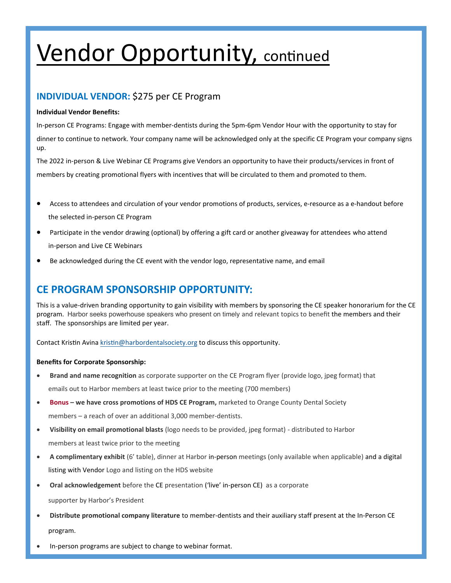# Vendor Opportunity, continued

### **INDIVIDUAL VENDOR:** \$275 per CE Program

#### **Individual Vendor Benefits:**

In-person CE Programs: Engage with member-dentists during the 5pm-6pm Vendor Hour with the opportunity to stay for dinner to continue to network. Your company name will be acknowledged only at the specific CE Program your company signs up.

The 2022 in-person & Live Webinar CE Programs give Vendors an opportunity to have their products/services in front of members by creating promotional flyers with incentives that will be circulated to them and promoted to them.

- Access to attendees and circulation of your vendor promotions of products, services, e-resource as a e-handout before the selected in-person CE Program
- Participate in the vendor drawing (optional) by offering a gift card or another giveaway for attendees who attend in-person and Live CE Webinars
- Be acknowledged during the CE event with the vendor logo, representative name, and email

### **CE PROGRAM SPONSORSHIP OPPORTUNITY:**

This is a value-driven branding opportunity to gain visibility with members by sponsoring the CE speaker honorarium for the CE program. Harbor seeks powerhouse speakers who present on timely and relevant topics to benefit the members and their staff. The sponsorships are limited per year.

Contact Kristin Avina [kristin@harbordentalsociety.org](mailto:kristin@harbordentalsociety.org) to discuss this opportunity.

#### **Benefits for Corporate Sponsorship:**

- **Brand and name recognition** as corporate supporter on the CE Program flyer (provide logo, jpeg format) that emails out to Harbor members at least twice prior to the meeting (700 members)
- **Bonus – we have cross promotions of HDS CE Program,** marketed to Orange County Dental Society members – a reach of over an additional 3,000 member-dentists.
- **Visibility on email promotional blasts** (logo needs to be provided, jpeg format) distributed to Harbor members at least twice prior to the meeting
- **A complimentary exhibit** (6' table), dinner at Harbor in-person meetings (only available when applicable) and a digital listing with Vendor Logo and listing on the HDS website
- **Oral acknowledgement** before the CE presentation ('live' in-person CE) as a corporate

supporter by Harbor's President

- **Distribute promotional company literature** to member-dentists and their auxiliary staff present at the In-Person CE program.
- In-person programs are subject to change to webinar format.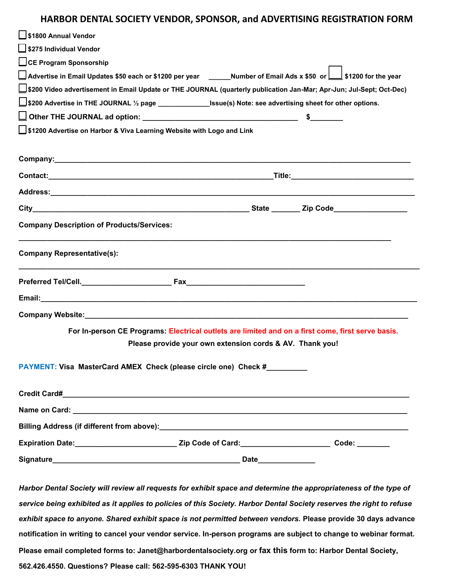#### **HARBOR DENTAL SOCIETY VENDOR, SPONSOR, and ADVERTISING REGISTRATION FORM**

| S1800 Annual Vendor                                                                                                                                           |
|---------------------------------------------------------------------------------------------------------------------------------------------------------------|
| S275 Individual Vendor                                                                                                                                        |
| CE Program Sponsorship                                                                                                                                        |
| ∐ Advertise in Email Updates \$50 each or \$1200 per year  _____Number of Email Ads x \$50  or <u>_</u> __∫ \$1200 for the year                               |
| LJ\$200 Video advertisement in Email Update or THE JOURNAL (quarterly publication Jan-Mar; Apr-Jun; Jul-Sept; Oct-Dec)                                        |
| Using sheet for other options. Note: see advertising sheet for other options.                                                                                 |
|                                                                                                                                                               |
| □ \$1200 Advertise on Harbor & Viva Learning Website with Logo and Link                                                                                       |
|                                                                                                                                                               |
|                                                                                                                                                               |
|                                                                                                                                                               |
|                                                                                                                                                               |
|                                                                                                                                                               |
| <b>Company Description of Products/Services:</b>                                                                                                              |
| <b>Company Representative(s):</b>                                                                                                                             |
|                                                                                                                                                               |
|                                                                                                                                                               |
|                                                                                                                                                               |
| For In-person CE Programs: Electrical outlets are limited and on a first come, first serve basis.<br>Please provide your own extension cords & AV. Thank you! |
| PAYMENT: Visa MasterCard AMEX Check (please circle one) Check #___________                                                                                    |
|                                                                                                                                                               |
|                                                                                                                                                               |
|                                                                                                                                                               |
| Expiration Date:________________________________Zip Code of Card:__________________________Code: _________                                                    |
|                                                                                                                                                               |

*Harbor Dental Society will review all requests for exhibit space and determine the appropriateness of the type of service being exhibited as it applies to policies of this Society. Harbor Dental Society reserves the right to refuse exhibit space to anyone. Shared exhibit space is not permitted between vendors.* **Please provide 30 days advance notification in writing to cancel your vendor service. In-person programs are subject to [change to webinar format.](mailto:janet@harbordentalsociety.org)  Please email completed forms to: Janet@harbordentalsociety.org or fax this form to: Harbor Dental Society, 562.426.4550. Questions? Please call: 562-595-6303 THANK YOU!**